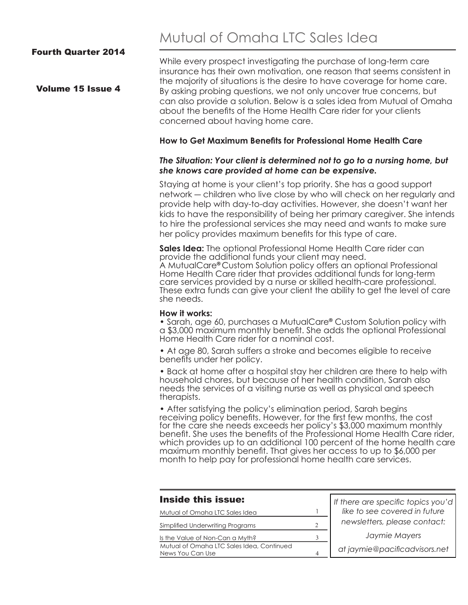#### Fourth Quarter 2014

# Mutual of Omaha LTC Sales Idea

Volume 15 Issue 4

While every prospect investigating the purchase of long-term care insurance has their own motivation, one reason that seems consistent in the majority of situations is the desire to have coverage for home care. By asking probing questions, we not only uncover true concerns, but can also provide a solution. Below is a sales idea from Mutual of Omaha about the benefits of the Home Health Care rider for your clients concerned about having home care.

#### **How to Get Maximum Benefits for Professional Home Health Care**

#### *The Situation: Your client is determined not to go to a nursing home, but she knows care provided at home can be expensive.*

Staying at home is your client's top priority. She has a good support network ― children who live close by who will check on her regularly and provide help with day-to-day activities. However, she doesn't want her kids to have the responsibility of being her primary caregiver. She intends to hire the professional services she may need and wants to make sure her policy provides maximum benefits for this type of care.

**Sales Idea:** The optional Professional Home Health Care rider can provide the additional funds your client may need. A MutualCare**®** Custom Solution policy offers an optional Professional Home Health Care rider that provides additional funds for long-term care services provided by a nurse or skilled health-care professional. These extra funds can give your client the ability to get the level of care she needs.

#### **How it works:**

• Sarah, age 60, purchases a MutualCare**®** Custom Solution policy with a \$3,000 maximum monthly benefit. She adds the optional Professional Home Health Care rider for a nominal cost.

• At age 80, Sarah suffers a stroke and becomes eligible to receive benefits under her policy.

• Back at home after a hospital stay her children are there to help with household chores, but because of her health condition, Sarah also needs the services of a visiting nurse as well as physical and speech therapists.

• After satisfying the policy's elimination period, Sarah begins receiving policy benefits. However, for the first few months, the cost for the care she needs exceeds her policy's \$3,000 maximum monthly benefit. She uses the benefits of the Professional Home Health Care rider, which provides up to an additional 100 percent of the home health care maximum monthly benefit. That gives her access to up to \$6,000 per month to help pay for professional home health care services.

| <b>Inside this issue:</b>                                     |   | If there are specific topics you'd<br>like to see covered in future |
|---------------------------------------------------------------|---|---------------------------------------------------------------------|
| Mutual of Omaha LTC Sales Idea                                |   |                                                                     |
| Simplified Underwriting Programs                              |   | newsletters, please contact:                                        |
| Is the Value of Non-Can a Myth?                               |   | Jaymie Mayers                                                       |
| Mutual of Omaha LTC Sales Idea, Continued<br>News You Can Use | 4 | at jaymie@pacificadvisors.net                                       |
|                                                               |   |                                                                     |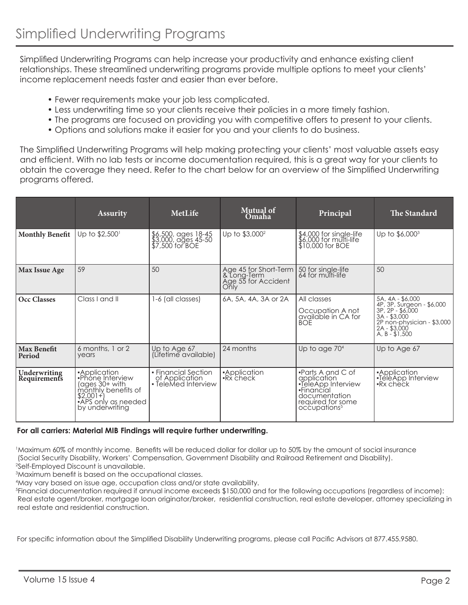Simplified Underwriting Programs can help increase your productivity and enhance existing client relationships. These streamlined underwriting programs provide multiple options to meet your clients' income replacement needs faster and easier than ever before.

- Fewer requirements make your job less complicated.
- Less underwriting time so your clients receive their policies in a more timely fashion.
- The programs are focused on providing you with competitive offers to present to your clients.
- Options and solutions make it easier for you and your clients to do business.

The Simplified Underwriting Programs will help making protecting your clients' most valuable assets easy and efficient. With no lab tests or income documentation required, this is a great way for your clients to obtain the coverage they need. Refer to the chart below for an overview of the Simplified Underwriting programs offered.

|                              | <b>Assurity</b>                                                                                                                   | MetLife                                                                   | <b>Mutual of</b><br>Omaha                                                                | Principal                                                                                                                                        | <b>The Standard</b>                                                                                                                                   |
|------------------------------|-----------------------------------------------------------------------------------------------------------------------------------|---------------------------------------------------------------------------|------------------------------------------------------------------------------------------|--------------------------------------------------------------------------------------------------------------------------------------------------|-------------------------------------------------------------------------------------------------------------------------------------------------------|
| <b>Monthly Benefit</b>       | Up to \$2,500 <sup>1</sup>                                                                                                        | $$6,500$ , ages $18-45$<br>$$3,000,000,000,000,45.50$<br>$$7,500$ for BOE | Up to \$3,000 <sup>2</sup>                                                               | \$4,000 for single-life<br>\$6,000 for multi-life<br>\$10,000 for BOE                                                                            | Up to \$6,000 <sup>3</sup>                                                                                                                            |
| Max Issue Age                | 59                                                                                                                                | 50                                                                        | Age 45 for Short-Term   50 for single-life<br>& Long-Term<br>Age 55 for Accident<br>Only | 64 for multi-life                                                                                                                                | 50                                                                                                                                                    |
| Occ Classes                  | Class I and II                                                                                                                    | 1-6 (all classes)                                                         | 6A, 5A, 4A, 3A or 2A                                                                     | All classes<br>Occupation A not<br>available in CA for<br><b>BOE</b>                                                                             | 5A, 4A - \$6,000<br>4P, 3P, Surgeon - \$6,000<br>$3P, 2P - $6,000$<br>$3A - $3,000$<br>2P non-physician - \$3,000<br>$2A - $3,000$<br>$A, B - $1,500$ |
| <b>Max Benefit</b><br>Period | 6 months, 1 or 2<br>years                                                                                                         | Up to Age 67<br>(Lifetime available)                                      | 24 months                                                                                | Up to age $704$                                                                                                                                  | Up to Age 67                                                                                                                                          |
| Underwriting<br>Requirements | •Application<br>•Phone Interview<br>(ages 30+ with<br>monthly benefits of<br>$$2.001 +$<br>TAPS only as needed<br>by underwriting | • Financial Section<br>of Application<br>• TeleMed Interview              | •Application<br>•Rx check                                                                | $\bullet$ Parts A and C of<br>application<br>. LeleApp Interview<br>•Financial<br>documentation<br>required for some<br>occupations <sup>5</sup> | •Application<br>•TeleApp Interview<br>$\blacktriangleright$ Rx check                                                                                  |

#### **For all carriers: Material MIB Findings will require further underwriting.**

1 Maximum 60% of monthly income. Benefits will be reduced dollar for dollar up to 50% by the amount of social insurance (Social Security Disability, Workers' Compensation, Government Disability and Railroad Retirement and Disability). 2 Self-Employed Discount is unavailable.

3 Maximum benefit is based on the occupational classes.

4 May vary based on issue age, occupation class and/or state availability.

5 Financial documentation required if annual income exceeds \$150,000 and for the following occupations (regardless of income): Real estate agent/broker, mortgage loan originator/broker, residential construction, real estate developer, attorney specializing in real estate and residential construction.

For specific information about the Simplified Disability Underwriting programs, please call Pacific Advisors at 877.455.9580.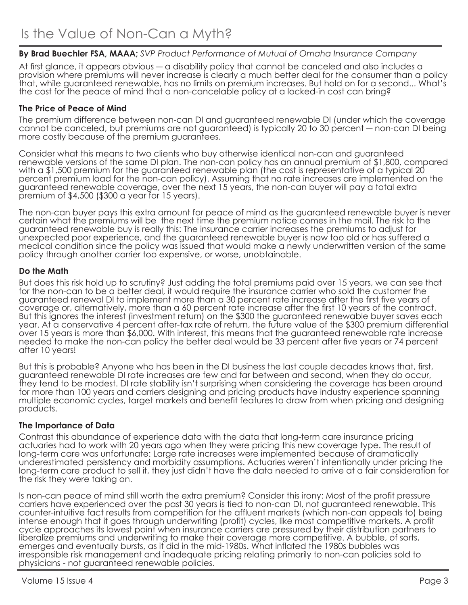### **By Brad Buechler FSA, MAAA;** *SVP Product Performance of Mutual of Omaha Insurance Company*

At first glance, it appears obvious ― a disability policy that cannot be canceled and also includes a provision where premiums will never increase is clearly a much better deal for the consumer than a policy that, while guaranteed renewable, has no limits on premium increases. But hold on for a second... What's the cost for the peace of mind that a non-cancelable policy at a locked-in cost can bring?

#### **The Price of Peace of Mind**

The premium difference between non-can DI and guaranteed renewable DI (under which the coverage cannot be canceled, but premiums are not guaranteed) is typically 20 to 30 percent ― non-can DI being more costly because of the premium guarantees.

Consider what this means to two clients who buy otherwise identical non-can and guaranteed renewable versions of the same DI plan. The non-can policy has an annual premium of \$1,800, compared with a \$1,500 premium for the guaranteed renewable plan (the cost is representative of a typical 20 percent premium load for the non-can policy). Assuming that no rate increases are implemented on the guaranteed renewable coverage, over the next 15 years, the non-can buyer will pay a total extra premium of \$4,500 (\$300 a year for 15 years).

The non-can buyer pays this extra amount for peace of mind as the guaranteed renewable buyer is never certain what the premiums will be the next time the premium notice comes in the mail. The risk to the guaranteed renewable buy is really this: The insurance carrier increases the premiums to adjust for unexpected poor experience, and the guaranteed renewable buyer is now too old or has suffered a medical condition since the policy was issued that would make a newly underwritten version of the same policy through another carrier too expensive, or worse, unobtainable.

#### **Do the Math**

But does this risk hold up to scrutiny? Just adding the total premiums paid over 15 years, we can see that for the non-can to be a better deal, it would require the insurance carrier who sold the customer the guaranteed renewal DI to implement more than a 30 percent rate increase after the first five years of coverage or, alternatively, more than a 60 percent rate increase after the first 10 years of the contract. But this ignores the interest (investment return) on the \$300 the guaranteed renewable buyer saves each year. At a conservative 4 percent after-tax rate of return, the future value of the \$300 premium differential over 15 years is more than \$6,000. With interest, this means that the guaranteed renewable rate increase needed to make the non-can policy the better deal would be 33 percent after five years or 74 percent after 10 years!

But this is probable? Anyone who has been in the DI business the last couple decades knows that, first, guaranteed renewable DI rate increases are few and far between and second, when they do occur, they tend to be modest. DI rate stability isn't surprising when considering the coverage has been around for more than 100 years and carriers designing and pricing products have industry experience spanning multiple economic cycles, target markets and benefit features to draw from when pricing and designing products.

#### **The Importance of Data**

Contrast this abundance of experience data with the data that long-term care insurance pricing actuaries had to work with 20 years ago when they were pricing this new coverage type. The result of long-term care was unfortunate: Large rate increases were implemented because of dramatically underestimated persistency and morbidity assumptions. Actuaries weren't intentionally under pricing the long-term care product to sell it, they just didn't have the data needed to arrive at a fair consideration for the risk they were taking on.

Is non-can peace of mind still worth the extra premium? Consider this irony: Most of the profit pressure carriers have experienced over the past 30 years is tied to non-can DI, not guaranteed renewable. This counter-intuitive fact results from competition for the affluent markets (which non-can appeals to) being intense enough that it goes through underwriting (profit) cycles, like most competitive markets. A profit cycle approaches its lowest point when insurance carriers are pressured by their distribution partners to liberalize premiums and underwriting to make their coverage more competitive. A bubble, of sorts, emerges and eventually bursts, as it did in the mid-1980s. What inflated the 1980s bubbles was irresponsible risk management and inadequate pricing relating primarily to non-can policies sold to physicians - not guaranteed renewable policies.